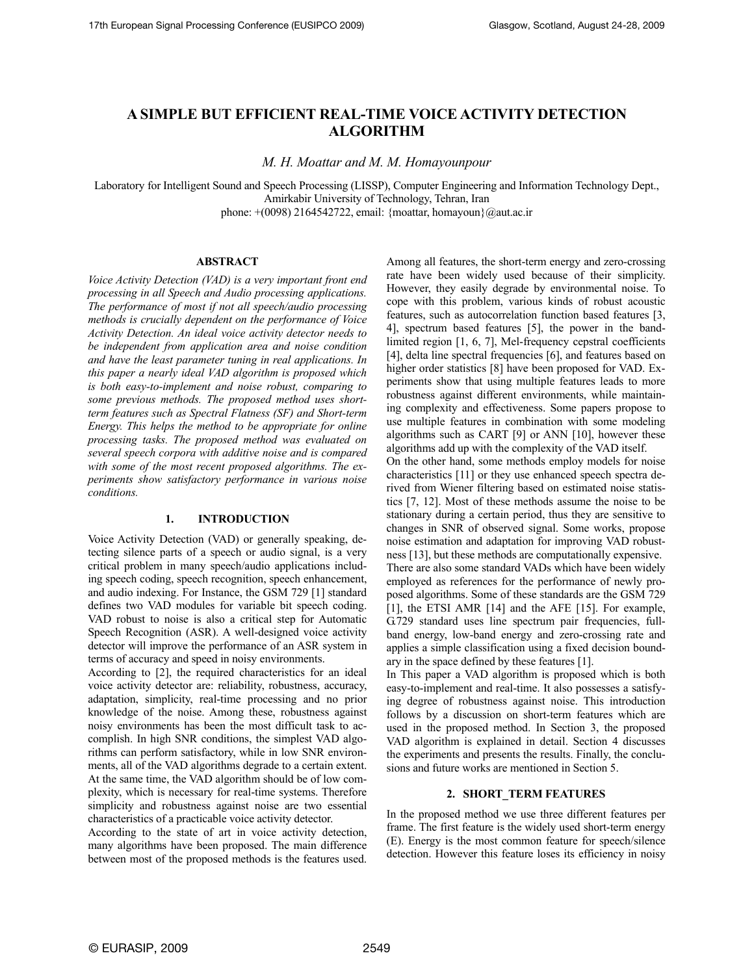# **A SIMPLE BUT EFFICIENT REAL-TIME VOICE ACTIVITY DETECTION ALGORITHM**

*M. H. Moattar and M. M. Homayounpour* 

Laboratory for Intelligent Sound and Speech Processing (LISSP), Computer Engineering and Information Technology Dept., Amirkabir University of Technology, Tehran, Iran phone: +(0098) 2164542722, email: {moattar, homayoun}@aut.ac.ir

### **ABSTRACT**

*Voice Activity Detection (VAD) is a very important front end processing in all Speech and Audio processing applications. The performance of most if not all speech/audio processing methods is crucially dependent on the performance of Voice Activity Detection. An ideal voice activity detector needs to be independent from application area and noise condition and have the least parameter tuning in real applications. In this paper a nearly ideal VAD algorithm is proposed which is both easy-to-implement and noise robust, comparing to some previous methods. The proposed method uses shortterm features such as Spectral Flatness (SF) and Short-term Energy. This helps the method to be appropriate for online processing tasks. The proposed method was evaluated on several speech corpora with additive noise and is compared with some of the most recent proposed algorithms. The experiments show satisfactory performance in various noise conditions.* 

### **1. INTRODUCTION**

Voice Activity Detection (VAD) or generally speaking, detecting silence parts of a speech or audio signal, is a very critical problem in many speech/audio applications including speech coding, speech recognition, speech enhancement, and audio indexing. For Instance, the GSM 729 [1] standard defines two VAD modules for variable bit speech coding. VAD robust to noise is also a critical step for Automatic Speech Recognition (ASR). A well-designed voice activity detector will improve the performance of an ASR system in terms of accuracy and speed in noisy environments.

According to [2], the required characteristics for an ideal voice activity detector are: reliability, robustness, accuracy, adaptation, simplicity, real-time processing and no prior knowledge of the noise. Among these, robustness against noisy environments has been the most difficult task to accomplish. In high SNR conditions, the simplest VAD algorithms can perform satisfactory, while in low SNR environments, all of the VAD algorithms degrade to a certain extent. At the same time, the VAD algorithm should be of low complexity, which is necessary for real-time systems. Therefore simplicity and robustness against noise are two essential characteristics of a practicable voice activity detector.

According to the state of art in voice activity detection, many algorithms have been proposed. The main difference between most of the proposed methods is the features used. Among all features, the short-term energy and zero-crossing rate have been widely used because of their simplicity. However, they easily degrade by environmental noise. To cope with this problem, various kinds of robust acoustic features, such as autocorrelation function based features [3, 4], spectrum based features [5], the power in the bandlimited region [1, 6, 7], Mel-frequency cepstral coefficients [4], delta line spectral frequencies [6], and features based on higher order statistics [8] have been proposed for VAD. Experiments show that using multiple features leads to more robustness against different environments, while maintaining complexity and effectiveness. Some papers propose to use multiple features in combination with some modeling algorithms such as CART [9] or ANN [10], however these algorithms add up with the complexity of the VAD itself. On the other hand, some methods employ models for noise characteristics [11] or they use enhanced speech spectra de-

rived from Wiener filtering based on estimated noise statistics [7, 12]. Most of these methods assume the noise to be stationary during a certain period, thus they are sensitive to changes in SNR of observed signal. Some works, propose noise estimation and adaptation for improving VAD robustness [13], but these methods are computationally expensive. There are also some standard VADs which have been widely employed as references for the performance of newly proposed algorithms. Some of these standards are the GSM 729 [1], the ETSI AMR [14] and the AFE [15]. For example, G.729 standard uses line spectrum pair frequencies, fullband energy, low-band energy and zero-crossing rate and applies a simple classification using a fixed decision boundary in the space defined by these features [1].

In This paper a VAD algorithm is proposed which is both easy-to-implement and real-time. It also possesses a satisfying degree of robustness against noise. This introduction follows by a discussion on short-term features which are used in the proposed method. In Section 3, the proposed VAD algorithm is explained in detail. Section 4 discusses the experiments and presents the results. Finally, the conclusions and future works are mentioned in Section 5.

### **2. SHORT\_TERM FEATURES**

In the proposed method we use three different features per frame. The first feature is the widely used short-term energy (E). Energy is the most common feature for speech/silence detection. However this feature loses its efficiency in noisy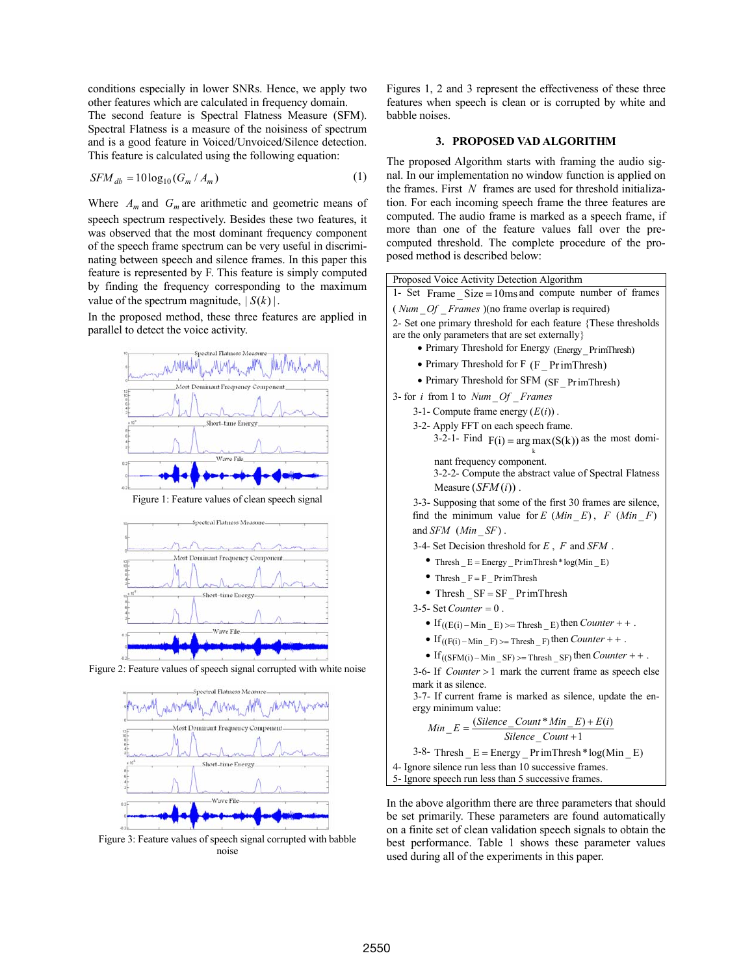conditions especially in lower SNRs. Hence, we apply two other features which are calculated in frequency domain. The second feature is Spectral Flatness Measure (SFM). Spectral Flatness is a measure of the noisiness of spectrum and is a good feature in Voiced/Unvoiced/Silence detection.

This feature is calculated using the following equation:

$$
SFM_{db} = 10\log_{10}(G_m / A_m)
$$
 (1)

Where  $A_m$  and  $G_m$  are arithmetic and geometric means of speech spectrum respectively. Besides these two features, it was observed that the most dominant frequency component of the speech frame spectrum can be very useful in discriminating between speech and silence frames. In this paper this feature is represented by F. This feature is simply computed by finding the frequency corresponding to the maximum value of the spectrum magnitude,  $|S(k)|$ .

In the proposed method, these three features are applied in parallel to detect the voice activity.



Figure 2: Feature values of speech signal corrupted with white noise



Figure 3: Feature values of speech signal corrupted with babble noise

Figures 1, 2 and 3 represent the effectiveness of these three features when speech is clean or is corrupted by white and babble noises.

# **3. PROPOSED VAD ALGORITHM**

The proposed Algorithm starts with framing the audio signal. In our implementation no window function is applied on the frames. First *N* frames are used for threshold initialization. For each incoming speech frame the three features are computed. The audio frame is marked as a speech frame, if more than one of the feature values fall over the precomputed threshold. The complete procedure of the proposed method is described below:

| Proposed Voice Activity Detection Algorithm                                                                          |
|----------------------------------------------------------------------------------------------------------------------|
| 1- Set Frame $Size = 10ms$ and compute number of frames                                                              |
| ( <i>Num _Of _Frames</i> )(no frame overlap is required)                                                             |
| 2- Set one primary threshold for each feature {These thresholds                                                      |
| are the only parameters that are set externally                                                                      |
| • Primary Threshold for Energy (Energy_PrimThresh)                                                                   |
| • Primary Threshold for F (F PrimThresh)                                                                             |
| • Primary Threshold for SFM (SF_PrimThresh)                                                                          |
| 3- for <i>i</i> from 1 to Num Of Frames                                                                              |
| 3-1- Compute frame energy $(E(i))$ .                                                                                 |
| 3-2- Apply FFT on each speech frame.                                                                                 |
| 3-2-1- Find $F(i) = arg max(S(k))$ as the most domi-                                                                 |
| nant frequency component.                                                                                            |
| 3-2-2- Compute the abstract value of Spectral Flatness                                                               |
| Measure $(SFM(i))$ .                                                                                                 |
| 3-3- Supposing that some of the first 30 frames are silence,<br>find the minimum value for E $(Min E)$ , F $(Min F)$ |
| and $SFM$ ( <i>Min</i> $SF$ ).                                                                                       |
| 3-4- Set Decision threshold for $E$ , $F$ and $SFM$ .                                                                |
| • Thresh $E = Energy$ PrimThresh * log(Min E)                                                                        |
| • Thresh $F = F$ PrimThresh                                                                                          |
| • Thresh $SF = SF$ PrimThresh                                                                                        |
| $3-5$ - Set Counter = 0.                                                                                             |
| • If $((E(i) - Min_E) >=$ Thresh $_E$ ) then <i>Counter</i> + +.                                                     |
| • If $((F(i) - Min_F) >=$ Thresh $_F$ then <i>Counter</i> + +.                                                       |
| • If $((SFM(i) - Min SF) \geq Thresh SF)$ then <i>Counter</i> + + .                                                  |
| 3-6- If <i>Counter</i> $> 1$ mark the current frame as speech else                                                   |
| mark it as silence.                                                                                                  |
| 3-7- If current frame is marked as silence, update the en-                                                           |
| ergy minimum value:                                                                                                  |
| $Min_{-}E = \frac{(Silence_{-}Count * Min_{-}E) + E(i)}{Silence_{-}Count + 1}$                                       |
|                                                                                                                      |
| $3-8$ - Thresh $E =$ Energy PrimThresh * log(Min E)                                                                  |

4- Ignore silence run less than 10 successive frames. 5- Ignore speech run less than 5 successive frames.

In the above algorithm there are three parameters that should be set primarily. These parameters are found automatically on a finite set of clean validation speech signals to obtain the best performance. Table 1 shows these parameter values used during all of the experiments in this paper.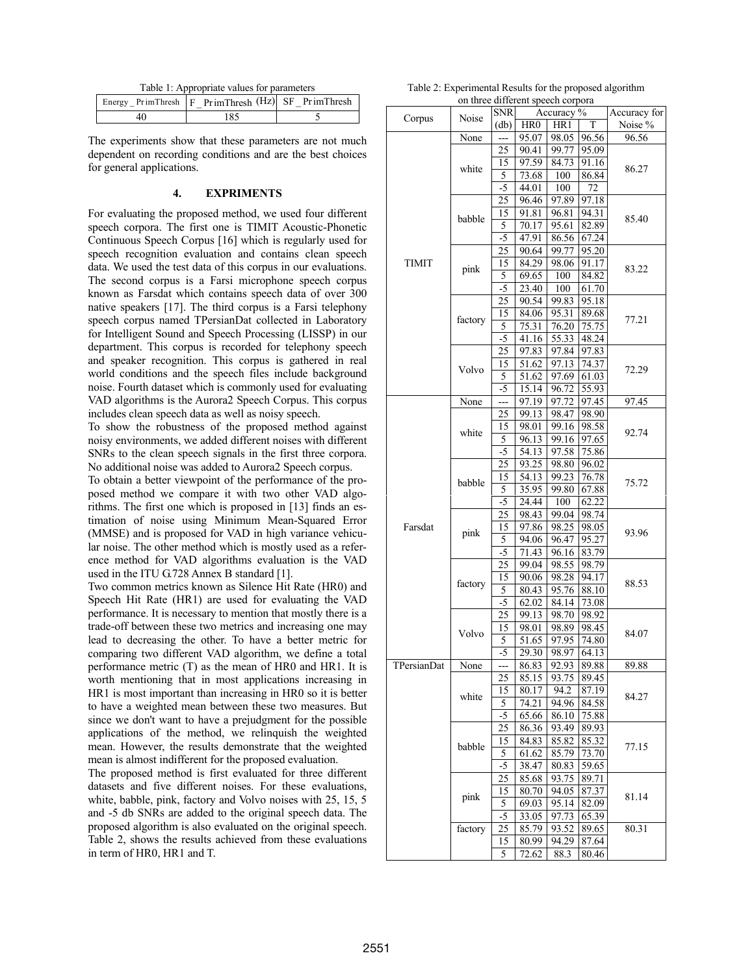Table 1: Appropriate values for parameters

|    | Energy_PrimThresh F PrimThresh (Hz) SF PrimThresh |  |
|----|---------------------------------------------------|--|
| 40 | 185                                               |  |

The experiments show that these parameters are not much dependent on recording conditions and are the best choices for general applications.

### **4. EXPRIMENTS**

For evaluating the proposed method, we used four different speech corpora. The first one is TIMIT Acoustic-Phonetic Continuous Speech Corpus [16] which is regularly used for speech recognition evaluation and contains clean speech data. We used the test data of this corpus in our evaluations. The second corpus is a Farsi microphone speech corpus known as Farsdat which contains speech data of over 300 native speakers [17]. The third corpus is a Farsi telephony speech corpus named TPersianDat collected in Laboratory for Intelligent Sound and Speech Processing (LISSP) in our department. This corpus is recorded for telephony speech and speaker recognition. This corpus is gathered in real world conditions and the speech files include background noise. Fourth dataset which is commonly used for evaluating VAD algorithms is the Aurora2 Speech Corpus. This corpus includes clean speech data as well as noisy speech.

To show the robustness of the proposed method against noisy environments, we added different noises with different SNRs to the clean speech signals in the first three corpora. No additional noise was added to Aurora2 Speech corpus.

To obtain a better viewpoint of the performance of the proposed method we compare it with two other VAD algorithms. The first one which is proposed in [13] finds an estimation of noise using Minimum Mean-Squared Error (MMSE) and is proposed for VAD in high variance vehicular noise. The other method which is mostly used as a reference method for VAD algorithms evaluation is the VAD used in the ITU G.728 Annex B standard [1].

Two common metrics known as Silence Hit Rate (HR0) and Speech Hit Rate (HR1) are used for evaluating the VAD performance. It is necessary to mention that mostly there is a trade-off between these two metrics and increasing one may lead to decreasing the other. To have a better metric for comparing two different VAD algorithm, we define a total performance metric (T) as the mean of HR0 and HR1. It is worth mentioning that in most applications increasing in HR1 is most important than increasing in HR0 so it is better to have a weighted mean between these two measures. But since we don't want to have a prejudgment for the possible applications of the method, we relinquish the weighted mean. However, the results demonstrate that the weighted mean is almost indifferent for the proposed evaluation.

The proposed method is first evaluated for three different datasets and five different noises. For these evaluations, white, babble, pink, factory and Volvo noises with 25, 15, 5 and -5 db SNRs are added to the original speech data. The proposed algorithm is also evaluated on the original speech. Table 2, shows the results achieved from these evaluations in term of HR0, HR1 and T.

Table 2: Experimental Results for the proposed algorithm on three different speech corpora

|              | on unce unicient specen corpora |                            |                    |            |                    |              |
|--------------|---------------------------------|----------------------------|--------------------|------------|--------------------|--------------|
| Corpus       | Noise                           | <b>SNR</b>                 |                    | Accuracy % |                    | Accuracy for |
|              |                                 | $\left(\mathrm{db}\right)$ | HR <sub>0</sub>    | HR1        | T                  | Noise %      |
|              | None                            |                            | 95.07              | 98.05      | 96.56              | 96.56        |
|              | white                           | 25                         | 90.41              | 99.77      | 95.09              |              |
|              |                                 | 15                         | 97.59              | 84.73      | 91.16              |              |
|              |                                 | 5                          | 73.68              | 100        | 86.84              | 86.27        |
|              |                                 | $-5$                       | 44.01              | 100        | 72                 |              |
|              |                                 | 25                         | 96.46              | 97.89      | 97.18              |              |
|              |                                 |                            |                    |            | 94.31              |              |
|              | babble                          | 15                         | 91.81              | 96.81      |                    | 85.40        |
|              |                                 | 5                          | 70.17              | 95.61      | 82.89              |              |
|              |                                 | $-5$                       | 47.91              | 86.56      | 67.24              |              |
|              |                                 | 25                         | 90.64              | 99.77      | 95.20              |              |
| <b>TIMIT</b> | pink                            | 15                         | 84.29              | 98.06      | 91.17              | 83.22        |
|              |                                 | 5                          | 69.65              | 100        | 84.82              |              |
|              |                                 | $-5$                       | $\overline{23.40}$ | 100        | 61.70              |              |
|              |                                 | 25                         | 90.54              | 99.83      | 95.18              |              |
|              |                                 | 15                         | 84.06              | 95.31      | 89.68              |              |
|              | factory                         | 5                          | 75.31              | 76.20      | 75.75              | 77.21        |
|              |                                 | -5                         | 41.16              | 55.33      | 48.24              |              |
|              |                                 | 25                         | 97.83              | 97.84      | 97.83              |              |
|              |                                 | 15                         | 51.62              | 97.13      | 74.37              |              |
|              | Volvo                           |                            |                    |            |                    | 72.29        |
|              |                                 | 5                          | 51.62              | 97.69      | 61.03              |              |
|              |                                 | $-5$                       | 15.14              | 96.72      | $\overline{55.93}$ |              |
|              | None                            | <u>.</u>                   | 97.19              | 97.72      | 97.45              | 97.45        |
|              |                                 | 25                         | 99.13              | 98.47      | 98.90              |              |
|              | white                           | 15                         | 98.01              | 99.16      | 98.58              | 92.74        |
|              |                                 | 5                          | 96.13              | 99.16      | 97.65              |              |
|              |                                 | $-5$                       | 54.13              | 97.58      | 75.86              |              |
|              |                                 | 25                         | 93.25              | 98.80      | 96.02              |              |
|              | babble                          | 15                         | 54.13              | 99.23      | 76.78              |              |
|              |                                 | 5                          | 35.95              | 99.80      | 67.88              | 75.72        |
|              |                                 | $-5$                       | 24.44              | 100        | 62.22              |              |
|              |                                 | 25                         | 98.43              | 99.04      | 98.74              |              |
| Farsdat      |                                 | 15                         | 97.86              | 98.25      | 98.05              |              |
|              | pink                            |                            |                    |            |                    | 93.96        |
|              |                                 | 5                          | 94.06              | 96.47      | 95.27              |              |
|              |                                 | -5                         | 71.43              | 96.16      | 83.79              |              |
|              |                                 | 25                         | 99.04              | 98.55      | 98.79              |              |
|              | factory                         | 15                         | 90.06              | 98.28      | 94.17              | 88.53        |
|              |                                 | 5                          | 80.43              | 95.76      | 88.10              |              |
|              |                                 | -5                         | 62.02              | 84.14      | 73.08              |              |
|              |                                 | 25                         | 99.13              | 98.70      | 98.92              |              |
|              |                                 | 15                         | 98.01              | 98.89      | 98.45              |              |
|              | Volvo                           | 5                          | 51.65              | 97.95      | 74.80              | 84.07        |
|              |                                 | $\overline{5}$             | 29.30              | 98.97      | 64.13              |              |
| TPersianDat  | None                            | ---                        | 86.83              | 92.93      | 89.88              | 89.88        |
|              |                                 | 25                         | 85.15              | 93.75      | 89.45              |              |
|              |                                 | 15                         |                    | 94.2       |                    |              |
|              | white                           |                            | 80.17              |            | 87.19              | 84.27        |
|              |                                 | 5                          | 74.21              | 94.96      | 84.58              |              |
|              |                                 | $-5$                       | 65.66              | 86.10      | 75.88              |              |
|              |                                 | 25                         | 86.36              | 93.49      | 89.93              |              |
|              | babble                          | 15                         | 84.83              | 85.82      | 85.32              | 77.15        |
|              |                                 | 5                          | 61.62              | 85.79      | 73.70              |              |
|              |                                 | -5                         | 38.47              | 80.83      | 59.65              |              |
|              |                                 | 25                         | 85.68              | 93.75      | 89.71              |              |
|              |                                 | 15                         | 80.70              | 94.05      | 87.37              |              |
|              | pink                            | 5                          | 69.03              | 95.14      | 82.09              | 81.14        |
|              |                                 | $-5$                       | 33.05              | 97.73      | 65.39              |              |
|              | factory                         | 25                         | 85.79              | 93.52      | 89.65              | 80.31        |
|              |                                 | 15                         | 80.99              | 94.29      | 87.64              |              |
|              |                                 | 5                          | 72.62              | 88.3       | 80.46              |              |
|              |                                 |                            |                    |            |                    |              |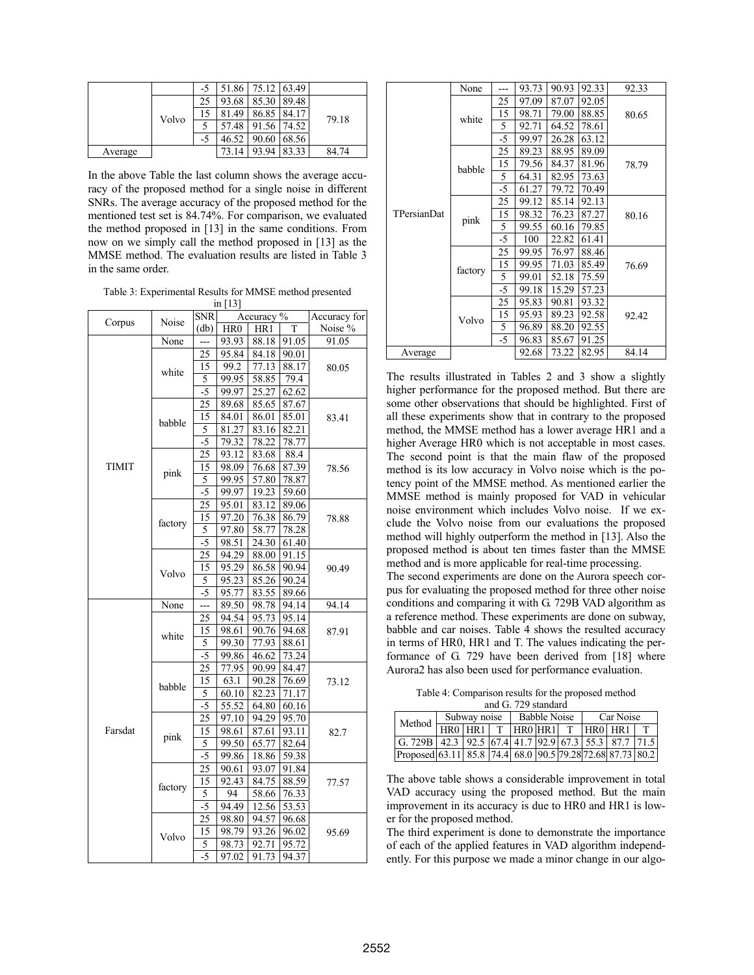|         |       | -5   | 51.86 |       | 75.12 63.49 |       |
|---------|-------|------|-------|-------|-------------|-------|
|         |       | 25   | 93.68 | 85.30 | 89.48       |       |
|         | Volvo | 15   | 81.49 | 86.85 | 84.17       | 79.18 |
|         |       |      | 57.48 | 91.56 | 74.52       |       |
|         |       | $-5$ | 46.52 | 90.60 | 68.56       |       |
| Average |       |      | 73.14 | 93.94 | 83.33       | 84.74 |

In the above Table the last column shows the average accuracy of the proposed method for a single noise in different SNRs. The average accuracy of the proposed method for the mentioned test set is 84.74%. For comparison, we evaluated the method proposed in [13] in the same conditions. From now on we simply call the method proposed in [13] as the MMSE method. The evaluation results are listed in Table 3 in the same order.

Table 3: Experimental Results for MMSE method presented  $\frac{1}{2}$  [13]

|              |         | <b>SNR</b> | $\mathop{\mathrm{III}}\nolimits$ [1.3] | Accuracy for |                |         |  |
|--------------|---------|------------|----------------------------------------|--------------|----------------|---------|--|
| Corpus       | Noise   | (db)       | Accuracy %<br>HR <sub>0</sub><br>HR1   |              | T              | Noise % |  |
|              | None    |            | 93.93                                  | 88.18        | 91.05          | 91.05   |  |
|              |         | 25         | 95.84                                  | 84.18        | 90.01          |         |  |
|              |         | 15         | 99.2                                   | 77.13        | $\sqrt{88.17}$ | 80.05   |  |
|              | white   | 5          | 99.95                                  | 58.85        | 79.4           |         |  |
|              |         | $-5$       | 99.97                                  | 25.27        | 62.62          |         |  |
|              |         | 25         | 89.68                                  | 85.65        | 87.67          |         |  |
|              |         | 15         | 84.01                                  | 86.01        | 85.01          | 83.41   |  |
|              | babble  | 5          | 81.27                                  | 83.16        | 82.21          |         |  |
|              |         | $-5$       | 79.32                                  | 78.22        | 78.77          |         |  |
|              |         | 25         | 93.12                                  | 83.68        | 88.4           |         |  |
| <b>TIMIT</b> |         | 15         | 98.09                                  | 76.68        | 87.39          | 78.56   |  |
|              | pink    | 5          | 99.95                                  | 57.80        | 78.87          |         |  |
|              |         | $-5$       | 99.97                                  | 19.23        | 59.60          |         |  |
|              |         | 25         | 95.01                                  | 83.12        | 89.06          |         |  |
|              |         | 15         | 97.20                                  | 76.38        | 86.79          | 78.88   |  |
|              | factory | 5          | 97.80                                  | 58.77        | 78.28          |         |  |
|              |         | $-5$       | 98.51                                  | 24.30        | 61.40          |         |  |
|              | Volvo   | 25         | 94.29                                  | 88.00        | 91.15          |         |  |
|              |         | 15         | 95.29                                  | 86.58        | 90.94          | 90.49   |  |
|              |         | 5          | 95.23                                  | 85.26        | 90.24          |         |  |
|              |         | $-5$       | 95.77                                  | 83.55        | 89.66          |         |  |
|              | None    | ---        | 89.50                                  | 98.78        | 94.14          | 94.14   |  |
|              |         | 25         | 94.54                                  | 95.73        | 95.14          |         |  |
|              | white   | 15         | 98.61                                  | 90.76        | 94.68          | 87.91   |  |
|              |         | 5          | 99.30                                  | 77.93        | 88.61          |         |  |
|              |         | $-5$       | 99.86                                  | 46.62        | 73.24          |         |  |
|              |         | 25         | 77.95                                  | 90.99        | 84.47          |         |  |
|              |         | 15         | 63.1                                   | 90.28        | 76.69          | 73.12   |  |
|              | babble  | 5          | 60.10                                  | 82.23        | 71.17          |         |  |
|              |         | -5         | 55.52                                  | 64.80        | 60.16          |         |  |
|              |         | 25         | 97.10                                  | 94.29        | 95.70          |         |  |
| Farsdat      |         | 15         | 98.61                                  | 87.61        | 93.11          | 82.7    |  |
|              | pink    | 5          | 99.50                                  | 65.77        | 82.64          |         |  |
|              |         | $-5$       | 99.86                                  | 18.86        | 59.38          |         |  |
|              |         | 25         | 90.61                                  | 93.07        | 91.84          |         |  |
|              |         | 15         | 92.43                                  | 84.75        | 88.59          | 77.57   |  |
|              | factory | 5          | 94                                     | 58.66        | 76.33          |         |  |
|              |         | $-5$       | 94.49                                  | 12.56        | 53.53          |         |  |
|              |         | 25         | 98.80                                  | 94.57        | 96.68          |         |  |
|              |         | 15         | 98.79                                  | 93.26        | 96.02          | 95.69   |  |
|              | Volvo   | 5          | 98.73                                  | 92.71        | 95.72          |         |  |
|              |         | $-5$       | 97.02                                  | 91.73        | 94.37          |         |  |

|                    | None    |      | 93.73 | 90.93 | 92.33 | 92.33 |
|--------------------|---------|------|-------|-------|-------|-------|
|                    | white   | 25   | 97.09 | 87.07 | 92.05 |       |
|                    |         | 15   | 98.71 | 79.00 | 88.85 | 80.65 |
|                    |         | 5    | 92.71 | 64.52 | 78.61 |       |
|                    |         | -5   | 99.97 | 26.28 | 63.12 |       |
|                    |         | 25   | 89.23 | 88.95 | 89.09 |       |
|                    | babble  | 15   | 79.56 | 84.37 | 81.96 | 78.79 |
|                    |         | 5    | 64.31 | 82.95 | 73.63 |       |
|                    |         | $-5$ | 61.27 | 79.72 | 70.49 |       |
|                    |         | 25   | 99.12 | 85.14 | 92.13 |       |
| <b>TPersianDat</b> | pink    | 15   | 98.32 | 76.23 | 87.27 | 80.16 |
|                    |         | 5    | 99.55 | 60.16 | 79.85 |       |
|                    |         | -5   | 100   | 22.82 | 61.41 |       |
|                    |         | 25   | 99.95 | 76.97 | 88.46 |       |
|                    | factory | 15   | 99.95 | 71.03 | 85.49 | 76.69 |
|                    |         | 5    | 99.01 | 52.18 | 75.59 |       |
|                    |         | $-5$ | 99.18 | 15.29 | 57.23 |       |
|                    |         | 25   | 95.83 | 90.81 | 93.32 |       |
|                    | Volvo   | 15   | 95.93 | 89.23 | 92.58 | 92.42 |
|                    |         | 5    | 96.89 | 88.20 | 92.55 |       |
|                    |         | $-5$ | 96.83 | 85.67 | 91.25 |       |
| Average            |         |      | 92.68 | 73.22 | 82.95 | 84.14 |

The results illustrated in Tables 2 and 3 show a slightly higher performance for the proposed method. But there are some other observations that should be highlighted. First of all these experiments show that in contrary to the proposed method, the MMSE method has a lower average HR1 and a higher Average HR0 which is not acceptable in most cases. The second point is that the main flaw of the proposed method is its low accuracy in Volvo noise which is the potency point of the MMSE method. As mentioned earlier the MMSE method is mainly proposed for VAD in vehicular noise environment which includes Volvo noise. If we exclude the Volvo noise from our evaluations the proposed method will highly outperform the method in [13]. Also the proposed method is about ten times faster than the MMSE method and is more applicable for real-time processing.

The second experiments are done on the Aurora speech corpus for evaluating the proposed method for three other noise conditions and comparing it with G. 729B VAD algorithm as a reference method. These experiments are done on subway, babble and car noises. Table 4 shows the resulted accuracy in terms of HR0, HR1 and T. The values indicating the performance of G. 729 have been derived from [18] where Aurora2 has also been used for performance evaluation.

Table 4: Comparison results for the proposed method and G. 729 standard

| Method                                                                 | Subway noise | <b>Babble Noise</b> |  |  | Car Noise |         |  |
|------------------------------------------------------------------------|--------------|---------------------|--|--|-----------|---------|--|
|                                                                        | HR0 HR1 T    | $HR0HR1$ T          |  |  |           | HR0HHR1 |  |
| G. 729B   42.3   92.5   67.4   41.7   92.9   67.3   55.3   87.7   71.5 |              |                     |  |  |           |         |  |
| Proposed 63.11 85.8 74.4 68.0 90.5 79.28 72.68 87.73 80.2              |              |                     |  |  |           |         |  |

The above table shows a considerable improvement in total VAD accuracy using the proposed method. But the main improvement in its accuracy is due to HR0 and HR1 is lower for the proposed method.

The third experiment is done to demonstrate the importance of each of the applied features in VAD algorithm independently. For this purpose we made a minor change in our algo-